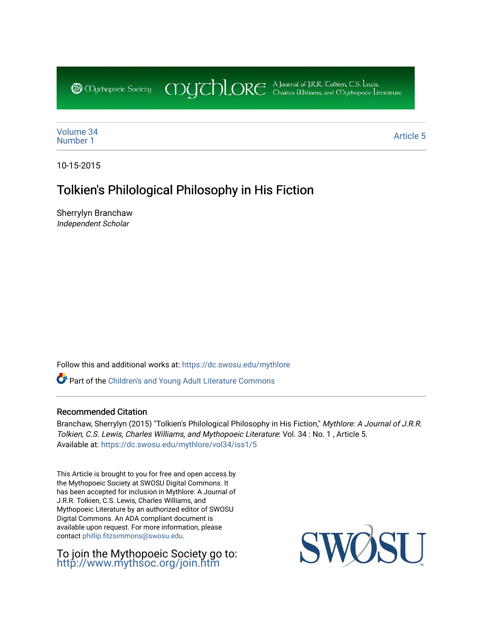CDUCHLORE A Journal of J.R.R. Coltien, C.S. Lewis,<br>CDUCHLORE Charles Williams, and Obyethopoeic Literacure **@** Oychopoeic Sociecy

[Volume 34](https://dc.swosu.edu/mythlore/vol34) [Number 1](https://dc.swosu.edu/mythlore/vol34/iss1) Article 5<br>Number 1 Article 5

10-15-2015

# Tolkien's Philological Philosophy in His Fiction

Sherrylyn Branchaw Independent Scholar

Follow this and additional works at: [https://dc.swosu.edu/mythlore](https://dc.swosu.edu/mythlore?utm_source=dc.swosu.edu%2Fmythlore%2Fvol34%2Fiss1%2F5&utm_medium=PDF&utm_campaign=PDFCoverPages) 

Part of the [Children's and Young Adult Literature Commons](http://network.bepress.com/hgg/discipline/1289?utm_source=dc.swosu.edu%2Fmythlore%2Fvol34%2Fiss1%2F5&utm_medium=PDF&utm_campaign=PDFCoverPages) 

### Recommended Citation

Branchaw, Sherrylyn (2015) "Tolkien's Philological Philosophy in His Fiction," Mythlore: A Journal of J.R.R. Tolkien, C.S. Lewis, Charles Williams, and Mythopoeic Literature: Vol. 34 : No. 1 , Article 5. Available at: [https://dc.swosu.edu/mythlore/vol34/iss1/5](https://dc.swosu.edu/mythlore/vol34/iss1/5?utm_source=dc.swosu.edu%2Fmythlore%2Fvol34%2Fiss1%2F5&utm_medium=PDF&utm_campaign=PDFCoverPages) 

This Article is brought to you for free and open access by the Mythopoeic Society at SWOSU Digital Commons. It has been accepted for inclusion in Mythlore: A Journal of J.R.R. Tolkien, C.S. Lewis, Charles Williams, and Mythopoeic Literature by an authorized editor of SWOSU Digital Commons. An ADA compliant document is available upon request. For more information, please contact [phillip.fitzsimmons@swosu.edu.](mailto:phillip.fitzsimmons@swosu.edu)

To join the Mythopoeic Society go to: <http://www.mythsoc.org/join.htm>

SWO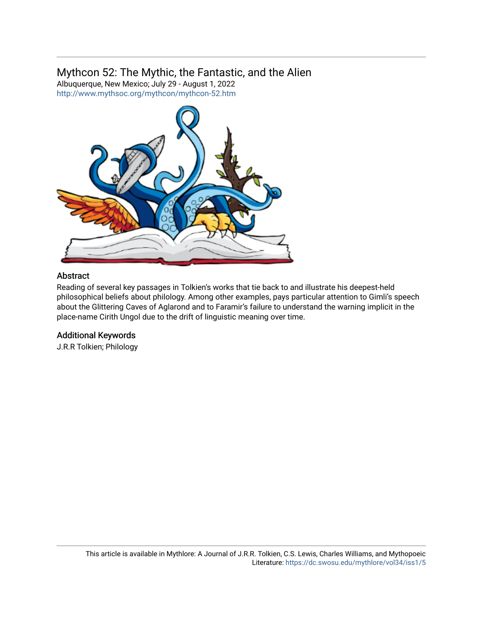# Mythcon 52: The Mythic, the Fantastic, and the Alien

Albuquerque, New Mexico; July 29 - August 1, 2022 <http://www.mythsoc.org/mythcon/mythcon-52.htm>



## Abstract

Reading of several key passages in Tolkien's works that tie back to and illustrate his deepest-held philosophical beliefs about philology. Among other examples, pays particular attention to Gimli's speech about the Glittering Caves of Aglarond and to Faramir's failure to understand the warning implicit in the place-name Cirith Ungol due to the drift of linguistic meaning over time.

## Additional Keywords

J.R.R Tolkien; Philology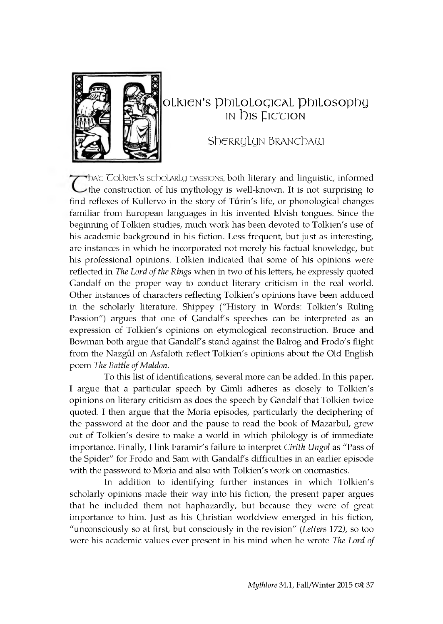

# **Tolkien's Philological Philosophy in** D<sub>is</sub> Fiction

Sherrylyn Branchaw

Thac Tolkien's scholarly passions, both literary and linguistic, informed the construction of his mythology is well-known. It is not surprising to find reflexes of Kullervo in the story of Túrin's life, or phonological changes familiar from European languages in his invented Elvish tongues. Since the beginning of Tolkien studies, much work has been devoted to Tolkien's use of his academic background in his fiction. Less frequent, but just as interesting, are instances in which he incorporated not merely his factual knowledge, but his professional opinions. Tolkien indicated that some of his opinions were reflected in *The Lord of the Rings* when in two of his letters, he expressly quoted Gandalf on the proper way to conduct literary criticism in the real world. Other instances of characters reflecting Tolkien's opinions have been adduced in the scholarly literature. Shippey ("History in Words: Tolkien's Ruling Passion") argues that one of Gandalf's speeches can be interpreted as an expression of Tolkien's opinions on etymological reconstruction. Bruce and Bowman both argue that Gandalf's stand against the Balrog and Frodo's flight from the Nazgûl on Asfaloth reflect Tolkien's opinions about the Old English poem *The Battle of Maldon*.

To this list of identifications, several more can be added. In this paper, I argue that a particular speech by Gimli adheres as closely to Tolkien's opinions on literary criticism as does the speech by Gandalf that Tolkien twice quoted. I then argue that the Moria episodes, particularly the deciphering of the password at the door and the pause to read the book of Mazarbul, grew out of Tolkien's desire to make a world in which philology is of immediate im portance. Finally, I link Faramir's failure to interpret *Cirith Ungol* as "Pass of the Spider" for Frodo and Sam with Gandalf's difficulties in an earlier episode with the password to Moria and also with Tolkien's work on onomastics.

In addition to identifying further instances in which Tolkien's scholarly opinions made their way into his fiction, the present paper argues that he included them not haphazardly, but because they were of great importance to him. Just as his Christian worldview emerged in his fiction, "unconsciously so at first, but consciously in the revision" *(Letters* 172), so too were his academic values ever present in his mind when he wrote *The Lord of*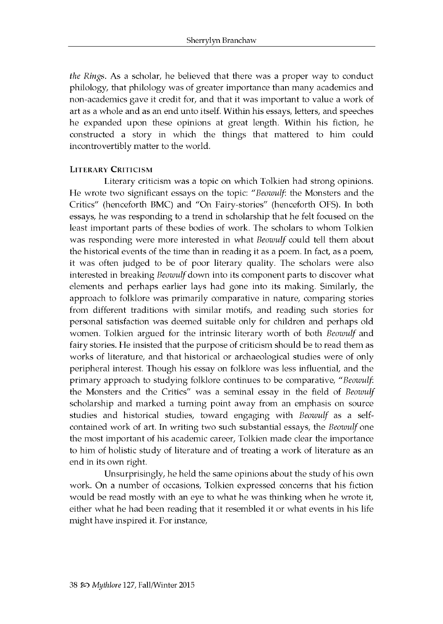*the Rings.* As a scholar, he believed that there was a proper way to conduct philology, that philology was of greater importance than many academics and non-academics gave it credit for, and that it was important to value a work of art as a whole and as an end unto itself. Within his essays, letters, and speeches he expanded upon these opinions at great length. Within his fiction, he constructed a story in which the things that mattered to him could incontrovertibly matter to the world.

#### LITERARY CRITICISM

Literary criticism was a topic on which Tolkien had strong opinions. He wrote two significant essays on the topic: *"Beowulf*: the Monsters and the Critics" (henceforth BMC) and "On Fairy-stories" (henceforth OFS). In both essays, he was responding to a trend in scholarship that he felt focused on the least important parts of these bodies of work. The scholars to whom Tolkien was responding were more interested in what *Beowulf* could tell them about the historical events of the time than in reading it as a poem. In fact, as a poem, it was often judged to be of poor literary quality. The scholars were also interested in breaking *Beowulf* down into its component parts to discover what elements and perhaps earlier lays had gone into its making. Similarly, the approach to folklore was primarily comparative in nature, comparing stories from different traditions with similar motifs, and reading such stories for personal satisfaction was deemed suitable only for children and perhaps old women. Tolkien argued for the intrinsic literary worth of both *Beowulf* and fairy stories. He insisted that the purpose of criticism should be to read them as works of literature, and that historical or archaeological studies were of only peripheral interest. Though his essay on folklore was less influential, and the primary approach to studying folklore continues to be comparative, "Beowulf. the Monsters and the Critics" was a seminal essay in the field of *Beowulf* scholarship and marked a turning point away from an emphasis on source studies and historical studies, toward engaging with *Beowulf* as a selfcontained work of art. In writing two such substantial essays, the *Beowulf* one the most important of his academic career, Tolkien made clear the importance to him of holistic study of literature and of treating a work of literature as an end in its own right.

Unsurprisingly, he held the same opinions about the study of his own work. On a number of occasions, Tolkien expressed concerns that his fiction would be read mostly with an eye to what he was thinking when he wrote it, either what he had been reading that it resembled it or what events in his life might have inspired it. For instance,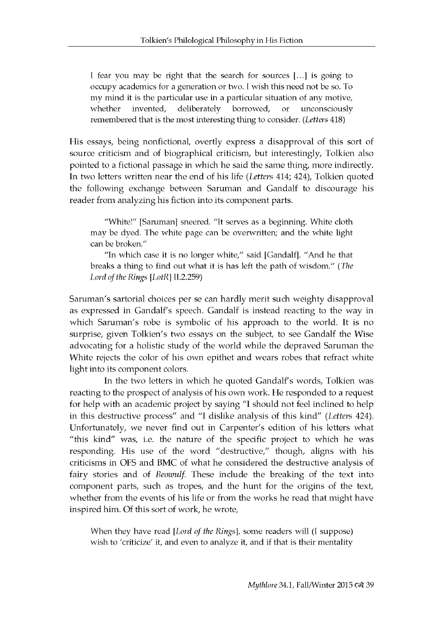I fear you may be right that the search for sources [...] is going to occupy academics for a generation or two. I wish this need not be so. To my mind it is the particular use in a particular situation of any motive, whether invented, deliberately borrowed, or unconsciously rem embered that is the most interesting thing to consider. *(Letters* 418)

His essays, being nonfictional, overtly express a disapproval of this sort of source criticism and of biographical criticism, but interestingly, Tolkien also pointed to a fictional passage in which he said the same thing, more indirectly. In two letters written near the end of his life *(Letters* 414; 424), Tolkien quoted the following exchange between Saruman and Gandalf to discourage his reader from analyzing his fiction into its component parts.

"White!" [Saruman] sneered. "It serves as a beginning. White cloth may be dyed. The white page can be overwritten; and the white light can be broken."

"In which case it is no longer white," said [Gandalf]. "And he that breaks a thing to find out what it is has left the path of wisdom." (The *Lord of the Rings* [LotR] II.2.259)

Saruman's sartorial choices per se can hardly merit such weighty disapproval as expressed in Gandalf's speech. Gandalf is instead reacting to the way in which Saruman's robe is symbolic of his approach to the world. It is no surprise, given Tolkien's two essays on the subject, to see Gandalf the Wise ad vocating for a holistic study of the world while the depraved Saruman the White rejects the color of his own epithet and wears robes that refract white light into its component colors.

In the two letters in which he quoted Gandalf's words, Tolkien was reacting to the prospect of analysis of his own work. He responded to a request for help with an academic project by saying "I should not feel inclined to help in this destructive process" and "I dislike analysis of this kind" (Letters 424). Unfortunately, we never find out in Carpenter's edition of his letters what "this kind" was, i.e. the nature of the specific project to which he was responding. His use of the word "destructive," though, aligns with his criticisms in OFS and BMC of what he considered the destructive analysis of fairy stories and of *Beowulf*. These include the breaking of the text into component parts, such as tropes, and the hunt for the origins of the text, whether from the events of his life or from the works he read that might have inspired him. Of this sort of work, he wrote,

When they have read [*Lord of the Rings*], some readers will (I suppose) wish to 'criticize' it, and even to analyze it, and if that is their mentality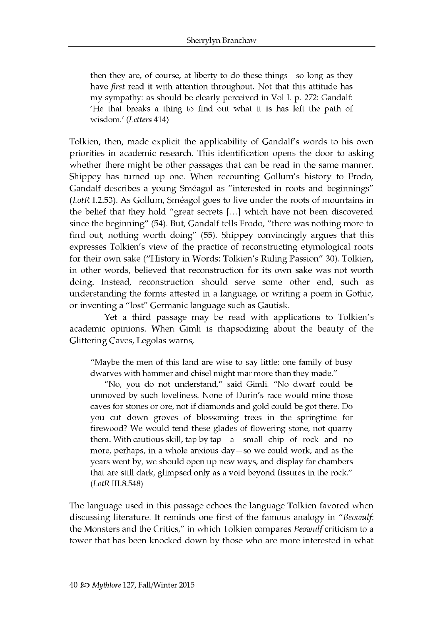then they are, of course, at liberty to do these things —so long as they have *first* read it with attention throughout. Not that this attitude has my sympathy: as should be clearly perceived in Vol I. p. 272: Gandalf: 'He that breaks a thing to find out what it is has left the path of w isdom .' *(Letters* 414)

Tolkien, then, made explicit the applicability of Gandalf's words to his own priorities in academic research. This identification opens the door to asking whether there might be other passages that can be read in the same manner. Shippey has turned up one. When recounting Gollum's history to Frodo, Gandalf describes a young Sméagol as "interested in roots and beginnings" *(LotR I.2.53). As Gollum, Sméagol goes to live under the roots of mountains in* the belief that they hold "great secrets [...] which have not been discovered since the beginning" (54). But, Gandalf tells Frodo, "there was nothing more to find out, nothing worth doing" (55). Shippey convincingly argues that this expresses Tolkien's view of the practice of reconstructing etymological roots for their own sake ("History in Words: Tolkien's Ruling Passion" 30). Tolkien, in other words, believed that reconstruction for its own sake was not worth doing. Instead, reconstruction should serve some other end, such as understanding the forms attested in a language, or writing a poem in Gothic, or inventing a "lost" Germanic language such as Gautisk.

Yet a third passage may be read with applications to Tolkien's academic opinions. When Gimli is rhapsodizing about the beauty of the Glittering Caves, Legolas warns,

"Maybe the men of this land are wise to say little: one family of busy dwarves with hammer and chisel might mar more than they made."

"No, you do not understand," said Gimli. "No dwarf could be unmoved by such loveliness. None of Durin's race would mine those caves for stones or ore, not if diamonds and gold could be got there. Do you cut down groves of blossoming trees in the springtime for firewood? We would tend these glades of flowering stone, not quarry them. With cautious skill, tap by  $tan - a$  small chip of rock and no more, perhaps, in a whole anxious day-so we could work, and as the years went by, we should open up new ways, and display far chambers that are still dark, glimpsed only as a void beyond fissures in the rock." *(LotR III.8.548)* 

The language used in this passage echoes the language Tolkien favored when discussing literature. It reminds one first of the famous analogy in "Beowulf. the Monsters and the Critics," in which Tolkien compares *Beowulf* criticism to a tower that has been knocked down by those who are more interested in what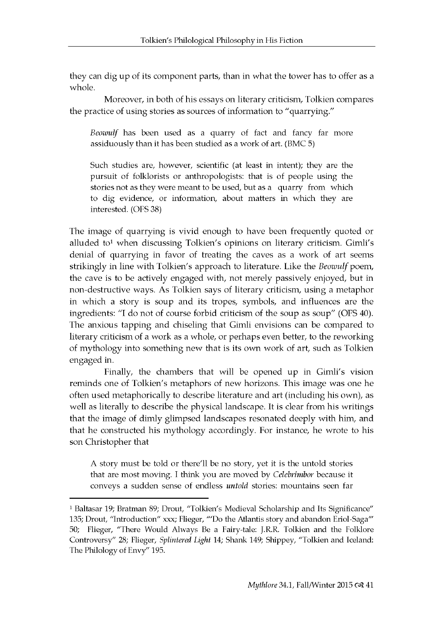they can dig up of its component parts, than in what the tower has to offer as a whole.

Moreover, in both of his essays on literary criticism, Tolkien compares the practice of using stories as sources of information to "quarrying."

Beowulf has been used as a quarry of fact and fancy far more assiduously than it has been studied as a work of art. (BMC 5)

Such studies are, however, scientific (at least in intent); they are the pursuit of folklorists or anthropologists: that is of people using the stories not as they were meant to be used, but as a quarry from which to dig evidence, or information, about matters in which they are interested. (OFS 38)

The image of quarrying is vivid enough to have been frequently quoted or alluded to<sup>1</sup> when discussing Tolkien's opinions on literary criticism. Gimli's denial of quarrying in favor of treating the caves as a work of art seems strikingly in line with Tolkien's approach to literature. Like the *Beowulf* poem, the cave is to be actively engaged with, not merely passively enjoyed, but in non-destructive ways. As Tolkien says of literary criticism, using a metaphor in which a story is soup and its tropes, symbols, and influences are the ingredients: "I do not of course forbid criticism of the soup as soup" (OFS 40). The anxious tapping and chiseling that Gimli envisions can be compared to literary criticism of a work as a whole, or perhaps even better, to the reworking of mythology into something new that is its own work of art, such as Tolkien engaged in.

Finally, the chambers that will be opened up in Gimli's vision reminds one of Tolkien's metaphors of new horizons. This image was one he often used metaphorically to describe literature and art (including his own), as well as literally to describe the physical landscape. It is clear from his writings that the image of dimly glimpsed land scapes resonated deeply with him, and that he constructed his mythology accordingly. For instance, he wrote to his son Christopher that

A story must be told or there'll be no story, yet it is the untold stories that are most moving. I think you are moved by *Celebrimbor* because it conveys a sudden sense of endless *untold* stories: mountains seen far

<sup>1</sup> Baltasar 19; Bratman 89; Drout, "Tolkien's Medieval Scholarship and Its Significance" 135; Drout, "Introduction" xxx; Flieger, "'Do the Atlantis story and abandon Eriol-Saga'" 50; Flieger, "There Would Always Be a Fairy-tale: J.R.R. Tolkien and the Folklore Controversy" 28; Flieger, *Splintered Light* 14; Shank 149; Shippey, "Tolkien and Iceland: The Philology of Envy" 195.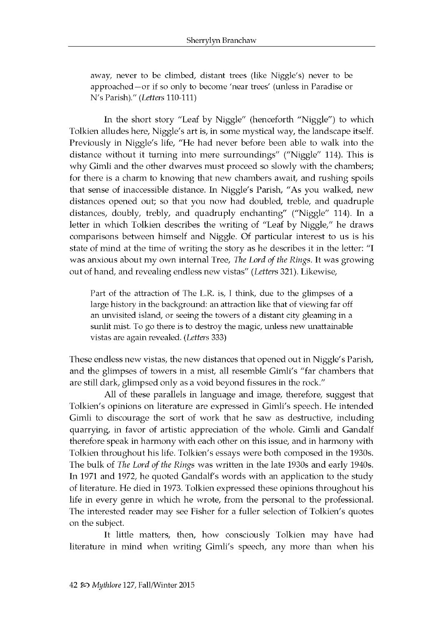away, never to be climbed, distant trees (like Niggle's) never to be approached - or if so only to become 'near trees' (unless in Paradise or N 's Parish)." *(Letters* 110-111)

In the short story "Leaf by Niggle" (henceforth "Niggle") to which Tolkien alludes here, Niggle's art is, in some mystical way, the landscape itself. Previously in Niggle's life, "He had never before been able to walk into the distance without it turning into mere surroundings" ("Niggle" 114). This is why Gimli and the other dwarves must proceed so slowly with the chambers; for there is a charm to knowing that new chambers await, and rushing spoils that sense of inaccessible distance. In Niggle's Parish, "As you walked, new distances opened out; so that you now had doubled, treble, and quadruple distances, doubly, trebly, and quadruply enchanting" ("Niggle" 114). In a letter in which Tolkien describes the writing of "Leaf by Niggle," he draws comparisons between himself and Niggle. Of particular interest to us is his state of mind at the time of writing the story as he describes it in the letter: "I was anxious about my own internal Tree, *The Lord of the Rings*. It was growing out of hand, and revealing endless new vistas" (Letters 321). Likewise,

Part of the attraction of The L.R. is, I think, due to the glimpses of a large history in the background: an attraction like that of viewing far off an unvisited island, or seeing the towers of a distant city gleaming in a sunlit mist. To go there is to destroy the magic, unless new unattainable vistas are again revealed. *(Letters* 333)

These endless new vistas, the new distances that opened out in Niggle's Parish, and the glimpses of towers in a mist, all resemble Gimli's "far chambers that are still dark, glimpsed only as a void beyond fissures in the rock."

All of these parallels in language and image, therefore, suggest that Tolkien's opinions on literature are expressed in Gimli's speech. He intended Gimli to discourage the sort of work that he saw as destructive, including quarrying, in favor of artistic appreciation of the whole. Gimli and Gandalf therefore speak in harmony with each other on this issue, and in harmony with Tolkien throughout his life. Tolkien's essays were both composed in the 1930s. The bulk of *The Lord of the Rings* was written in the late 1930s and early 1940s. In 1971 and 1972, he quoted Gandalf's words with an application to the study of literature. He died in 1973. Tolkien expressed these opinions throughout his life in every genre in which he wrote, from the personal to the professional. The interested reader may see Fisher for a fuller selection of Tolkien's quotes on the subject.

It little matters, then, how consciously Tolkien may have had literature in mind when writing Gimli's speech, any more than when his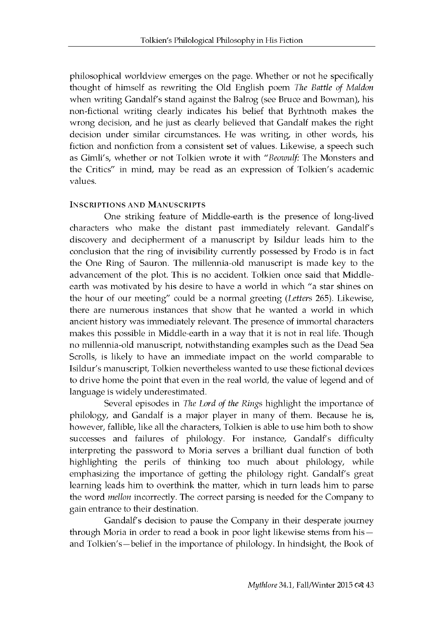philosophical world view emerges on the page. Whether or not he specifically thought of himself as rewriting the Old English poem The Battle of Maldon when writing Gandalf's stand against the Balrog (see Bruce and Bowman), his non-fictional writing clearly indicates his belief that Byrhtnoth makes the wrong decision, and he just as clearly believed that Gandalf makes the right decision under similar circumstances. He was writing, in other words, his fiction and nonfiction from a consistent set of values. Likewise, a speech such as Gimli's, whether or not Tolkien wrote it with "Beowulf: The Monsters and the Critics" in mind, may be read as an expression of Tolkien's academic values.

#### **INSCRIPTIONS AND MANUSCRIPTS**

One striking feature of Middle-earth is the presence of long-lived characters who make the distant past immediately relevant. Gandalf's discovery and decipherment of a manuscript by Isildur leads him to the conclusion that the ring of invisibility currently possessed by Frodo is in fact the One Ring of Sauron. The millennia-old manuscript is made key to the advancement of the plot. This is no accident. Tolkien once said that Middleearth was motivated by his desire to have a world in which "a star shines on the hour of our meeting" could be a normal greeting (Letters 265). Likewise, there are numerous instances that show that he wanted a world in which ancient history was immediately relevant. The presence of immortal characters makes this possible in Middle-earth in a way that it is not in real life. Though no millennia-old manuscript, notwithstanding examples such as the Dead Sea Scrolls, is likely to have an immediate impact on the world comparable to Isildur's manuscript, Tolkien nevertheless wanted to use these fictional devices to drive home the point that even in the real world, the value of legend and of language is widely underestimated.

Several episodes in *The Lord of the Rings* highlight the importance of philology, and Gandalf is a major player in many of them. Because he is, however, fallible, like all the characters, Tolkien is able to use him both to show successes and failures of philology. For instance, Gandalf's difficulty interpreting the password to Moria serves a brilliant dual function of both highlighting the perils of thinking too much about philology, while emphasizing the importance of getting the philology right. Gandalf's great learning leads him to overthink the matter, which in turn leads him to parse the word *mellon* incorrectly. The correct parsing is needed for the Company to gain entrance to their destination.

Gandalf's decision to pause the Company in their desperate journey through Moria in order to read a book in poor light likewise stems from his and Tolkien's—belief in the importance of philology. In hind sight, the Book of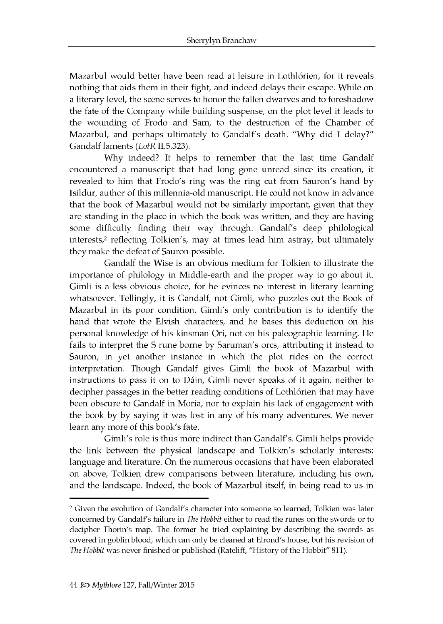Mazarbul would better have been read at leisure in Lothlórien, for it reveals nothing that aids them in their fight, and indeed delays their escape. While on a literary level, the scene serves to honor the fallen dwarves and to foreshadow the fate of the Company while building suspense, on the plot level it leads to the wounding of Frodo and Sam, to the destruction of the Chamber of Mazarbul, and perhaps ultimately to Gandalf's death. "Why did I delay?" Gandalf laments (LotR II.5.323).

Why indeed? It helps to remember that the last time Gandalf en countered a manuscript that had long gone unread since its creation, it revealed to him that Frodo's ring was the ring cut from Sauron's hand by Isildur, author of this millennia-old manuscript. He could not know in advance that the book of Mazarbul would not be similarly important, given that they are standing in the place in which the book was written, and they are having some difficulty finding their way through. Gandalf's deep philological interests,<sup>2</sup> reflecting Tolkien's, may at times lead him astray, but ultimately they make the defeat of Sauron possible.

Gandalf the Wise is an obvious medium for Tolkien to illustrate the importance of philology in Middle-earth and the proper way to go about it. Gimli is a less obvious choice, for he evinces no interest in literary learning whatsoever. Tellingly, it is Gandalf, not Gimli, who puzzles out the Book of Mazarbul in its poor condition. Gimli's only contribution is to identify the hand that wrote the Elvish characters, and he bases this deduction on his personal knowledge of his kinsman Ori, not on his paleographic learning. He fails to interpret the S rune borne by Saruman's orcs, attributing it instead to Sauron, in yet another instance in which the plot rides on the correct interpretation. Though Gandalf gives Gimli the book of Mazarbul with in structions to pass it on to Dáin, Gimli never speaks of it again, neither to decipher passages in the better reading conditions of Lothlórien that may have been obscure to Gandalf in Moria, nor to explain his lack of engagement with the book by by saying it was lost in any of his many adventures. We never learn any more of this book's fate.

Gimli's role is thus more indirect than Gandalf's. Gimli helps provide the link between the physical landscape and Tolkien's scholarly interests: language and literature. On the numerous occasions that have been elaborated on above, Tolkien drew comparisons between literature, including his own, and the landscape. Indeed, the book of Mazarbul itself, in being read to us in

<sup>&</sup>lt;sup>2</sup> Given the evolution of Gandalf's character into someone so learned, Tolkien was later concerned by Gandalf's failure in *The Hobbit* either to read the runes on the swords or to decipher Thorin's map. The former he tried explaining by describing the swords as covered in goblin blood, which can only be cleaned at Elrond's house, but his revision of *The Hobbit* was never finished or published (Rateliff, "History of the Hobbit" 811).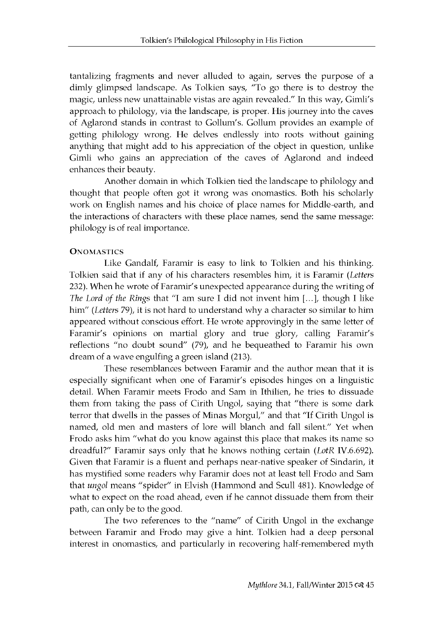tantalizing fragments and never alluded to again, serves the purpose of a dimly glimpsed landscape. As Tolkien says, "To go there is to destroy the magic, unless new unattainable vistas are again revealed." In this way, Gimli's ap proach to philology, via the land scape, is proper. His journey into the caves of Aglarond stands in contrast to Gollum's. Gollum provides an example of getting philology wrong. He delves endlessly into roots without gaining anything that might add to his appreciation of the object in question, unlike Gimli who gains an appreciation of the caves of Aglarond and indeed enhances their beauty.

Another domain in which Tolkien tied the landscape to philology and thought that people often got it wrong was onomastics. Both his scholarly work on English names and his choice of place names for Middle-earth, and the interactions of characters with these place names, send the same message: philology is of real importance.

#### **ONOMASTICS**

Like Gandalf, Faramir is easy to link to Tolkien and his thinking. Tolkien said that if any of his characters resembles him, it is Faramir *(Letters* 232). When he wrote of Faramir's unexpected appearance during the writing of *The Lord of the Rings that "I am sure I did not invent him [...], though I like* him" (Letters 79), it is not hard to understand why a character so similar to him appeared without conscious effort. He wrote approvingly in the same letter of Faramir's opinions on martial glory and true glory, calling Faramir's reflections "no doubt sound" (79), and he bequeathed to Faramir his own dream of a wave engulfing a green island (213).

These resemblances between Faramir and the author mean that it is especially significant when one of Faramir's episodes hinges on a linguistic detail. When Faramir meets Frodo and Sam in Ithilien, he tries to dissuade them from taking the pass of Cirith Ungol, saying that "there is some dark terror that dwells in the passes of Minas Morgul," and that "If Cirith Ungol is named, old men and masters of lore will blanch and fall silent." Yet when Frodo asks him "what do you know against this place that makes its name so dreadful?" Faramir says only that he knows nothing certain *(LotR IV.6.692).* Given that Faramir is a fluent and perhaps near-native speaker of Sindarin, it has mystified some readers why Faramir does not at least tell Frodo and Sam that *ungol* means "spider" in Elvish (Hammond and Scull 481). Knowledge of what to expect on the road ahead, even if he cannot dissuade them from their path, can only be to the good.

The two references to the "name" of Cirith Ungol in the exchange between Faramir and Frodo may give a hint. Tolkien had a deep personal interest in onomastics, and particularly in recovering half-remembered myth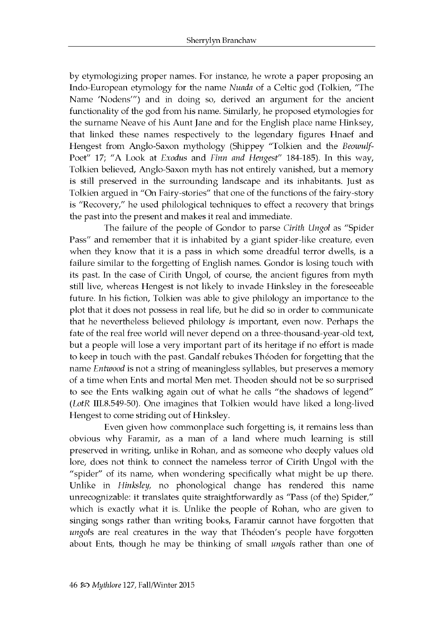by etymologizing proper names. For instance, he wrote a paper proposing an Indo-European etymology for the name Nuada of a Celtic god (Tolkien, "The Name 'Nodens'") and in doing so, derived an argument for the ancient functionality of the god from his name. Similarly, he proposed etymologies for the surname Neave of his Aunt Jane and for the English place name Hinksey, that linked these names respectively to the legendary figures Hnaef and Hengest from Anglo-Saxon mythology (Shippey "Tolkien and the *Beowulf-*Poet" 17; "A Look at *Exodus* and *Finn and Hengest*" 184-185). In this way, Tolkien believed, Anglo-Saxon myth has not entirely vanished, but a memory is still preserved in the surrounding landscape and its inhabitants. Just as Tolkien argued in "On Fairy-stories" that one of the functions of the fairy-story is "Recovery," he used philological techniques to effect a recovery that brings the past into the present and makes it real and immediate.

The failure of the people of Gondor to parse *Cirith Ungol* as "Spider Pass" and remember that it is inhabited by a giant spider-like creature, even when they know that it is a pass in which some dreadful terror dwells, is a failure similar to the forgetting of English names. Gondor is losing touch with its past. In the case of Cirith Ungol, of course, the ancient figures from myth still live, whereas Hengest is not likely to invade Hinksley in the foreseeable future. In his fiction, Tolkien was able to give philology an importance to the p lot that it does not possess in real life, but he did so in order to communicate that he nevertheless believed philology *is* important, even now. Perhaps the fate of the real free world will never depend on a three-thousand-year-old text, but a people will lose a very important part of its heritage if no effort is made to keep in touch with the past. Gandalf rebukes Théoden for forgetting that the name *Entwood* is not a string of meaningless syllables, but preserves a memory of a time when Ents and mortal Men met. Theoden should not be so surprised to see the Ents walking again out of what he calls "the shadows of legend" *(LotR III.8.549-50).* One imagines that Tolkien would have liked a long-lived Hengest to come striding out of Hinksley.

Even given how commonplace such forgetting is, it remains less than obvious why Faramir, as a man of a land where much learning is still preserved in writing, unlike in Rohan, and as someone who deeply values old lore, does not think to connect the nameless terror of Cirith Ungol with the "spider" of its name, when wondering specifically what might be up there. Unlike in *Hinksley*, no phonological change has rendered this name unrecognizable: it translates quite straightforwardly as "Pass (of the) Spider," which is exactly what it is. Unlike the people of Rohan, who are given to singing songs rather than writing books, Faramir cannot have forgotten that ungols are real creatures in the way that Théoden's people have forgotten about Ents, though he may be thinking of small *ungols* rather than one of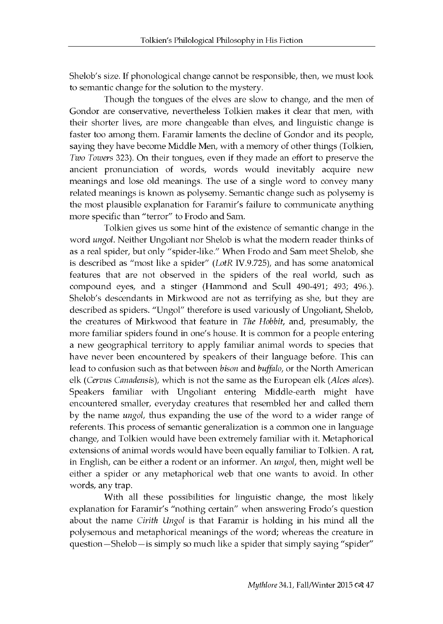Shelob's size. If phonological change cannot be responsible, then, we must look to semantic change for the solution to the mystery.

Though the tongues of the elves are slow to change, and the men of Gondor are conservative, nevertheless Tolkien makes it clear that men, with their shorter lives, are more changeable than elves, and linguistic change is faster too among them. Faramir laments the decline of Gondor and its people, saying they have become Middle Men, with a memory of other things (Tolkien, *Two Towers* 323). On their tongues, even if they made an effort to preserve the ancient pronunciation of words, words would inevitably acquire new meanings and lose old meanings. The use of a single word to convey many related meanings is known as polysemy. Semantic change such as polysemy is the most plausible explanation for Faramir's failure to communicate anything more specific than "terror" to Frodo and Sam.

Tolkien gives us some hint of the existence of semantic change in the word *ungol*. Neither Ungoliant nor Shelob is what the modern reader thinks of as a real spider, but only "spider-like." When Frodo and Sam meet Shelob, she is described as "most like a spider" (LotR IV.9.725), and has some anatomical features that are not observed in the spiders of the real world, such as compound eyes, and a stinger (Hammond and Scull 490-491; 493; 496.). Shelob's descendants in Mirkwood are not as terrifying as she, but they are described as spiders. "Ungol" therefore is used variously of Ungoliant, Shelob, the creatures of Mirkwood that feature in *The Hobbit*, and, presumably, the more familiar spiders found in one's house. It is common for a people entering a new geographical territory to apply familiar animal words to species that have never been encountered by speakers of their language before. This can lead to confusion such as that between *bison* and *buffalo*, or the North American elk (Cervus Canadensis), which is not the same as the European elk (Alces alces). Speakers familiar with Ungoliant entering Middle-earth might have en countered smaller, every day creatures that resembled her and called them by the name *ungol*, thus expanding the use of the word to a wider range of referents. This process of semantic generalization is a common one in language change, and Tolkien would have been extremely familiar with it. Metaphorical extensions of animal words would have been equally familiar to Tolkien. A rat, in English, can be either a rodent or an informer. An *ungol*, then, might well be either a spider or any metaphorical web that one wants to avoid. In other words, any trap.

With all these possibilities for linguistic change, the most likely explanation for Faramir's "nothing certain" when answering Frodo's question about the name *Cirith Ungol* is that Faramir is holding in his mind all the poly semous and metaphorical meanings of the word; whereas the creature in question - Shelob - is simply so much like a spider that simply saying "spider"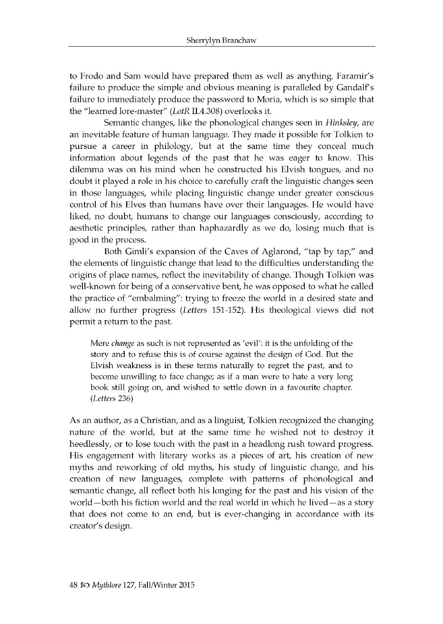to Frodo and Sam would have prepared them as well as anything. Faramir's failure to produce the simple and obvious meaning is paralleled by Gandalf's failure to immediately produce the password to Moria, which is so simple that the "learned lore-master" (LotR II.4.308) overlooks it.

Semantic changes, like the phonological changes seen in *Hinksley*, are an inevitable feature of human language. They made it possible for Tolkien to pursue a career in philology, but at the same time they conceal much information about legends of the past that he was eager to know. This dilemma was on his mind when he constructed his Elvish tongues, and no doubt it played a role in his choice to carefully craft the linguistic changes seen in those languages, while placing linguistic change under greater conscious control of his Elves than humans have over their languages. He would have liked, no doubt, humans to change our languages consciously, according to aesthetic principles, rather than haphazardly as we do, losing much that is good in the process.

Both Gimli's expansion of the Caves of Aglarond, "tap by tap," and the elements of linguistic change that lead to the difficulties understanding the origins of place names, reflect the inevitability of change. Though Tolkien was well-known for being of a conservative bent, he was opposed to what he called the practice of "embalming": trying to freeze the world in a desired state and allow no further progress *(Letters* 151-152). His theological views did not permit a return to the past.

Mere *change* as such is not represented as 'evil': it is the unfolding of the story and to refuse this is of course against the design of God. But the Elvish weakness is in these terms naturally to regret the past, and to become unwilling to face change; as if a man were to hate a very long book still going on, and wished to settle down in a favourite chapter. *(Letters* 236)

As an author, as a Christian, and as a linguist, Tolkien recognized the changing nature of the world, but at the same time he wished not to destroy it heedlessly, or to lose touch with the past in a headlong rush toward progress. His engagement with literary works as a pieces of art, his creation of new myths and reworking of old myths, his study of linguistic change, and his creation of new languages, complete with patterns of phonological and semantic change, all reflect both his longing for the past and his vision of the world – both his fiction world and the real world in which he lived – as a story that does not come to an end, but is ever-changing in accordance with its creator's design.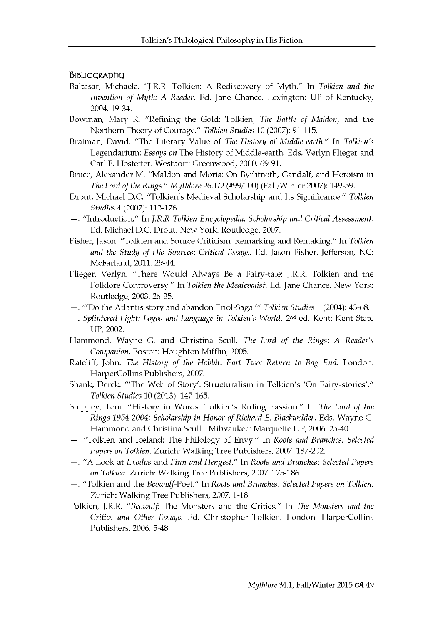Bibliography

- Baltasar, Michaela. "J.R.R. Tolkien: A Rediscovery of M yth." In *Tolkien and the Invention of Myth: A Reader.* Ed. Jane Chance. Lexington: UP of Kentucky, 2004. 19-34.
- Bowman, Mary R. ["Refining the Gold: Tolkien,](http://muse.jhu.edu/journals/tolkien_studies/v007/7.bowman.html) *The Battle of Maldon*, and the N orthern Theory of Courage." *Tolkien Studies* 10 (2007): 91-115.
- Bratman, David. "The Literary Value of *The History of Middle-earth."* In *Tolkien's* Legendarium: *Essays on* The History of Middle-earth. Eds. Verlyn Flieger and Carl F. Hostetter. Westport: Greenwood, 2000. 69-91.

Bruce, Alexander M. "Maldon and Moria: On Byrhtnoth, Gandalf, and Heroism in *The Lord of the Rings." Mythlore* 26.1/2 (#99/100) (Fall/W inter 2007): 149-59.

- D rout, M ichael D.C. "Tolkien's M edieval Scholarship and Its Significance." *Tolkien Studies* 4 (2007): 113-176.
- . "Introduction." In *J.R.R Tolkien Encyclopedia: Scholarship and Critical Assessment.* Ed. Michael D.C. Drout. New York: Routledge, 2007.
- Fisher, Jason. "Tolkien and Source Criticism: Rem arking and Remaking." In *Tolkien and the Study of His Sources: Critical Essays.* Ed. Jason Fisher. Jefferson, NC: McFarland, 2011. 29-44.
- Flieger, Verlyn. "There Would Always Be a Fairy-tale: J.R.R. Tolkien and the Folklore Controversy." In *Tolkien the Medievalist*. Ed. Jane Chance. New York: Routledge, 2003. 26-35.
- . "'D o the A tlantis story and abandon Eriol-Saga.'" *Tolkien Studies* 1 (2004): 43-68.
- —. *Splintered Light: Logos and Language in Tolkien's World.* 2nd ed. Kent: Kent State UP, 2002.
- Hammond, Wayne G. and Christina Scull. *The Lord of the Rings: A Reader's Companion*. Boston: Houghton Mifflin, 2005.
- Rateliff, John. *The History of the Hobbit. Part Two: Return to Bag End.* London: HarperCollins Publishers, 2007.
- Shank, Derek. "The Web of Story': Structuralism in Tolkien's 'On Fairy-stories'." *Tolkien Studies* 10 (2013): 147-165.
- Shippey, Tom. "History in Words: Tolkien's Ruling Passion." In *The Lord of the Rings 1954-2004: Scholarship in Honor of Richard E. Blackwelder.* Eds. W ayne G. Hammond and Christina Scull. Milwaukee: Marquette UP, 2006. 25-40.
- . "Tolkien and Iceland: The Philology of Envy." In *Roots and Branches: Selected Papers on Tolkien.* Zurich: W alking Tree Publishers, 2007. 187-202.
- —. "A Look at *Exodus* and *Finn and Hengest*." In *Roots and Branches: Selected Papers on Tolkien.* Zurich: W alking Tree Publishers, 2007. 175-186.
- —. "Tolkien and the *Beowulf*-Poet." In *Roots and Branches: Selected Papers on Tolkien.* Zurich: Walking Tree Publishers, 2007. 1-18.
- Tolkien, J.R.R. "Beowulf: The Monsters and the Critics." In *The Monsters and the* Critics and Other Essays. Ed. Christopher Tolkien. London: HarperCollins Publishers, 2006. 5-48.